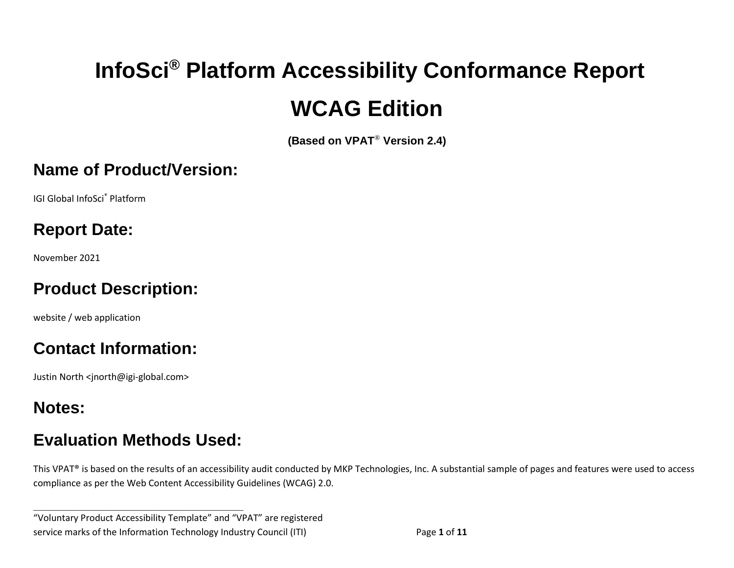# **InfoSci® Platform Accessibility Conformance Report WCAG Edition**

**(Based on VPAT**® **Version 2.4)**

#### **Name of Product/Version:**

IGI Global InfoSci® Platform

# **Report Date:**

November 2021

## **Product Description:**

website / web application

# **Contact Information:**

Justin North <jnorth@igi-global.com>

## **Notes:**

## **Evaluation Methods Used:**

**\_\_\_\_\_\_\_\_\_\_\_\_\_\_\_\_\_\_\_\_\_\_\_\_\_\_\_\_\_\_\_\_\_\_**

This VPAT® is based on the results of an accessibility audit conducted by MKP Technologies, Inc. A substantial sample of pages and features were used to access compliance as per the Web Content Accessibility Guidelines (WCAG) 2.0.

"Voluntary Product Accessibility Template" and "VPAT" are registered service marks of the Information Technology Industry Council (ITI) Page **1** of **11**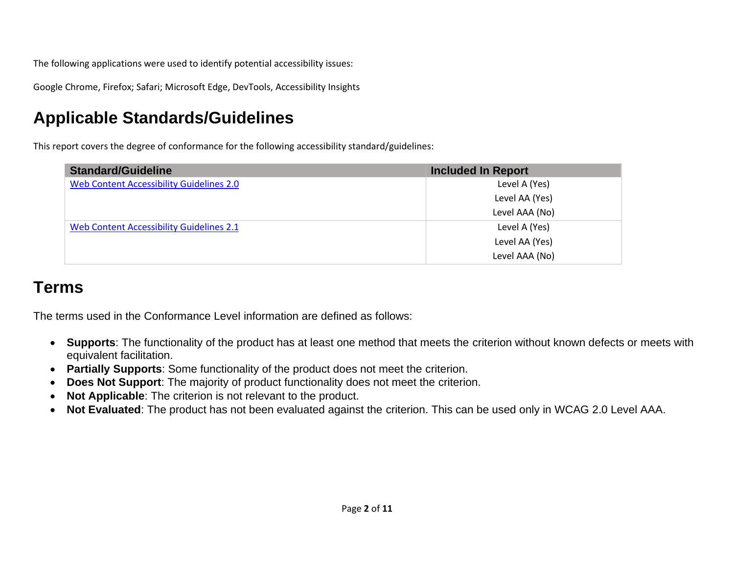The following applications were used to identify potential accessibility issues:

Google Chrome, Firefox; Safari; Microsoft Edge, DevTools, Accessibility Insights

# **Applicable Standards/Guidelines**

This report covers the degree of conformance for the following accessibility standard/guidelines:

| <b>Standard/Guideline</b>                | <b>Included In Report</b> |
|------------------------------------------|---------------------------|
| Web Content Accessibility Guidelines 2.0 | Level A (Yes)             |
|                                          | Level AA (Yes)            |
|                                          | Level AAA (No)            |
| Web Content Accessibility Guidelines 2.1 | Level A (Yes)             |
|                                          | Level AA (Yes)            |
|                                          | Level AAA (No)            |

#### **Terms**

The terms used in the Conformance Level information are defined as follows:

- **Supports**: The functionality of the product has at least one method that meets the criterion without known defects or meets with equivalent facilitation.
- **Partially Supports**: Some functionality of the product does not meet the criterion.
- **Does Not Support**: The majority of product functionality does not meet the criterion.
- **Not Applicable**: The criterion is not relevant to the product.
- **Not Evaluated**: The product has not been evaluated against the criterion. This can be used only in WCAG 2.0 Level AAA.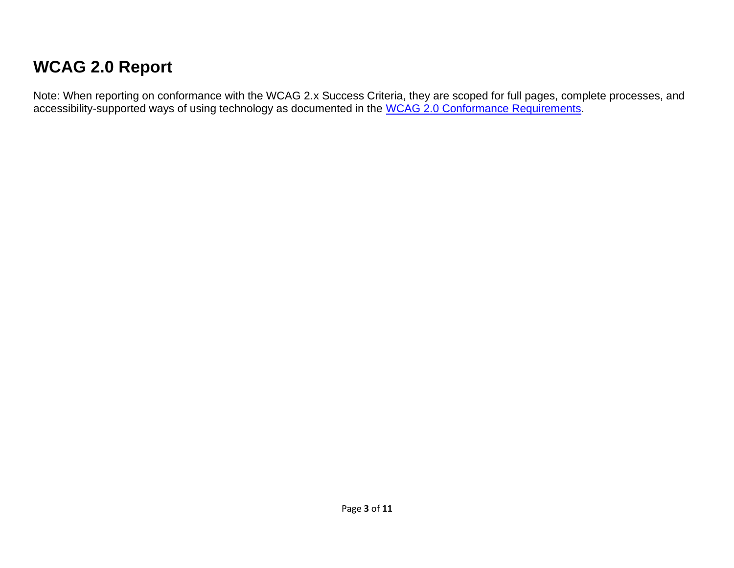# **WCAG 2.0 Report**

Note: When reporting on conformance with the WCAG 2.x Success Criteria, they are scoped for full pages, complete processes, and accessibility-supported ways of using technology as documented in the [WCAG 2.0 Conformance Requirements.](https://www.w3.org/TR/WCAG20/#conformance-reqs)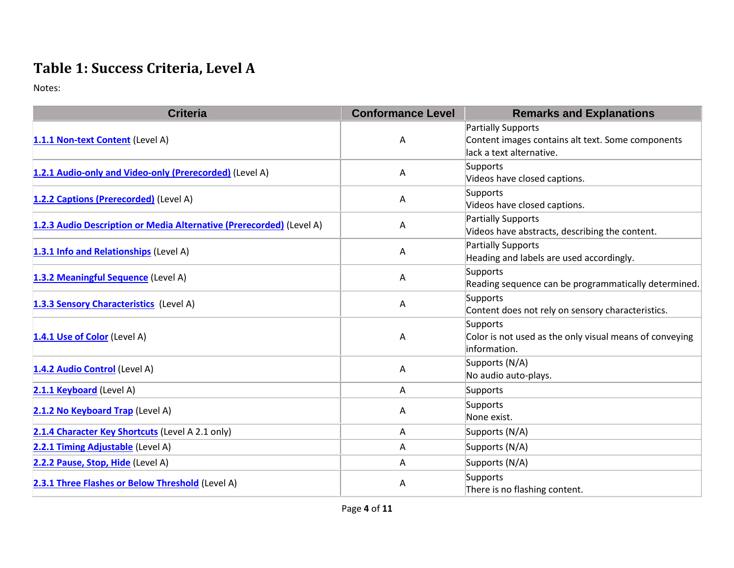## **Table 1: Success Criteria, Level A**

| <b>Criteria</b>                                                      | <b>Conformance Level</b> | <b>Remarks and Explanations</b>                                                                            |
|----------------------------------------------------------------------|--------------------------|------------------------------------------------------------------------------------------------------------|
| 1.1.1 Non-text Content (Level A)                                     | Α                        | <b>Partially Supports</b><br>Content images contains alt text. Some components<br>lack a text alternative. |
| 1.2.1 Audio-only and Video-only (Prerecorded) (Level A)              | Α                        | Supports<br>Videos have closed captions.                                                                   |
| 1.2.2 Captions (Prerecorded) (Level A)                               | A                        | Supports<br>Videos have closed captions.                                                                   |
| 1.2.3 Audio Description or Media Alternative (Prerecorded) (Level A) | Α                        | Partially Supports<br>Videos have abstracts, describing the content.                                       |
| 1.3.1 Info and Relationships (Level A)                               | Α                        | <b>Partially Supports</b><br>Heading and labels are used accordingly.                                      |
| 1.3.2 Meaningful Sequence (Level A)                                  | Α                        | Supports<br>Reading sequence can be programmatically determined.                                           |
| 1.3.3 Sensory Characteristics (Level A)                              | A                        | Supports<br>Content does not rely on sensory characteristics.                                              |
| 1.4.1 Use of Color (Level A)                                         | Α                        | Supports<br>Color is not used as the only visual means of conveying<br>information.                        |
| 1.4.2 Audio Control (Level A)                                        | Α                        | Supports (N/A)<br>No audio auto-plays.                                                                     |
| 2.1.1 Keyboard (Level A)                                             | A                        | Supports                                                                                                   |
| 2.1.2 No Keyboard Trap (Level A)                                     | A                        | Supports<br>None exist.                                                                                    |
| 2.1.4 Character Key Shortcuts (Level A 2.1 only)                     | A                        | Supports (N/A)                                                                                             |
| 2.2.1 Timing Adjustable (Level A)                                    | A                        | Supports (N/A)                                                                                             |
| 2.2.2 Pause, Stop, Hide (Level A)                                    | A                        | Supports (N/A)                                                                                             |
| 2.3.1 Three Flashes or Below Threshold (Level A)                     | A                        | Supports<br>There is no flashing content.                                                                  |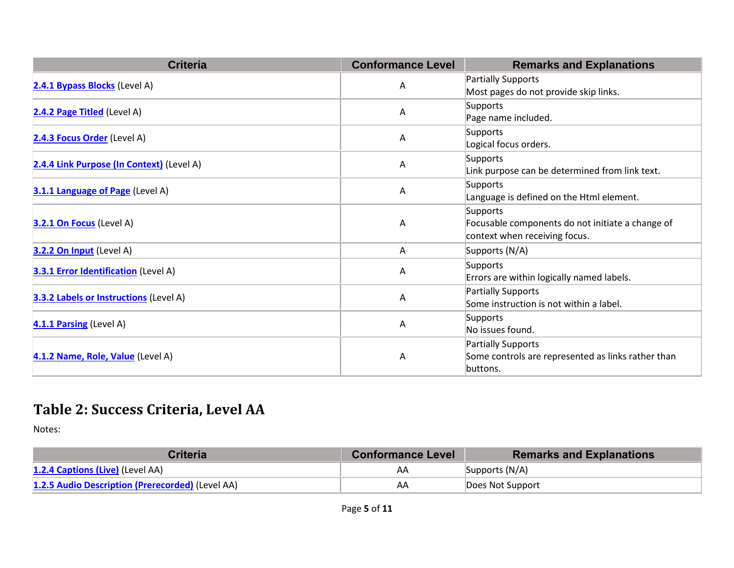| <b>Criteria</b>                               | <b>Conformance Level</b> | <b>Remarks and Explanations</b>                    |
|-----------------------------------------------|--------------------------|----------------------------------------------------|
| 2.4.1 Bypass Blocks (Level A)                 | A                        | Partially Supports                                 |
|                                               |                          | Most pages do not provide skip links.              |
| 2.4.2 Page Titled (Level A)                   | Α                        | Supports                                           |
|                                               |                          | Page name included.                                |
| 2.4.3 Focus Order (Level A)                   | Α                        | Supports                                           |
|                                               |                          | Logical focus orders.                              |
| 2.4.4 Link Purpose (In Context) (Level A)     | A                        | Supports                                           |
|                                               |                          | Link purpose can be determined from link text.     |
| 3.1.1 Language of Page (Level A)              | A                        | Supports                                           |
|                                               |                          | Language is defined on the Html element.           |
|                                               | Α                        | Supports                                           |
| 3.2.1 On Focus (Level A)                      |                          | Focusable components do not initiate a change of   |
|                                               |                          | context when receiving focus.                      |
| 3.2.2 On Input (Level A)                      | A                        | Supports (N/A)                                     |
| <b>3.3.1 Error Identification</b> (Level A)   | Α                        | Supports                                           |
|                                               |                          | Errors are within logically named labels.          |
| <b>3.3.2 Labels or Instructions (Level A)</b> | A                        | Partially Supports                                 |
|                                               |                          | Some instruction is not within a label.            |
| 4.1.1 Parsing (Level A)                       | Α                        | Supports                                           |
|                                               |                          | No issues found.                                   |
|                                               | Α                        | Partially Supports                                 |
| 4.1.2 Name, Role, Value (Level A)             |                          | Some controls are represented as links rather than |
|                                               |                          | buttons.                                           |

## **Table 2: Success Criteria, Level AA**

| <b>Criteria</b>                                  | <b>Conformance Level</b> | <b>Remarks and Explanations</b> |
|--------------------------------------------------|--------------------------|---------------------------------|
| 1.2.4 Captions (Live) (Level AA)                 | AΑ                       | Supports $(N/A)$                |
| 1.2.5 Audio Description (Prerecorded) (Level AA) | AA                       | Does Not Support                |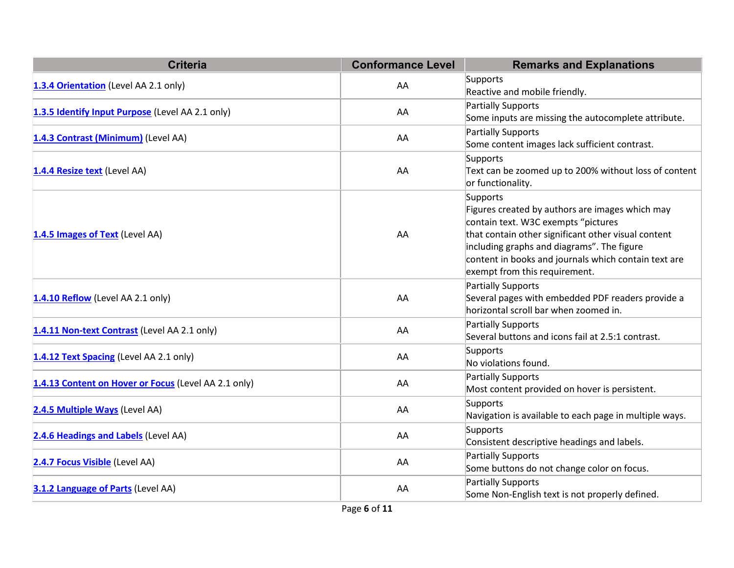| <b>Criteria</b>                                      | <b>Conformance Level</b> | <b>Remarks and Explanations</b>                                                                                                                                                                                                                                                                  |
|------------------------------------------------------|--------------------------|--------------------------------------------------------------------------------------------------------------------------------------------------------------------------------------------------------------------------------------------------------------------------------------------------|
| 1.3.4 Orientation (Level AA 2.1 only)                | AA                       | Supports<br>Reactive and mobile friendly.                                                                                                                                                                                                                                                        |
| 1.3.5 Identify Input Purpose (Level AA 2.1 only)     | AA                       | <b>Partially Supports</b><br>Some inputs are missing the autocomplete attribute.                                                                                                                                                                                                                 |
| 1.4.3 Contrast (Minimum) (Level AA)                  | AA                       | Partially Supports<br>Some content images lack sufficient contrast.                                                                                                                                                                                                                              |
| 1.4.4 Resize text (Level AA)                         | AA                       | Supports<br>Text can be zoomed up to 200% without loss of content<br>or functionality.                                                                                                                                                                                                           |
| 1.4.5 Images of Text (Level AA)                      | AA                       | Supports<br>Figures created by authors are images which may<br>contain text. W3C exempts "pictures<br>that contain other significant other visual content<br>including graphs and diagrams". The figure<br>content in books and journals which contain text are<br>exempt from this requirement. |
| 1.4.10 Reflow (Level AA 2.1 only)                    | AA                       | <b>Partially Supports</b><br>Several pages with embedded PDF readers provide a<br>horizontal scroll bar when zoomed in.                                                                                                                                                                          |
| 1.4.11 Non-text Contrast (Level AA 2.1 only)         | AA                       | <b>Partially Supports</b><br>Several buttons and icons fail at 2.5:1 contrast.                                                                                                                                                                                                                   |
| 1.4.12 Text Spacing (Level AA 2.1 only)              | AA                       | Supports<br>No violations found.                                                                                                                                                                                                                                                                 |
| 1.4.13 Content on Hover or Focus (Level AA 2.1 only) | AA                       | <b>Partially Supports</b><br>Most content provided on hover is persistent.                                                                                                                                                                                                                       |
| 2.4.5 Multiple Ways (Level AA)                       | AA                       | Supports<br>Navigation is available to each page in multiple ways.                                                                                                                                                                                                                               |
| 2.4.6 Headings and Labels (Level AA)                 | AA                       | Supports<br>Consistent descriptive headings and labels.                                                                                                                                                                                                                                          |
| 2.4.7 Focus Visible (Level AA)                       | AA                       | <b>Partially Supports</b><br>Some buttons do not change color on focus.                                                                                                                                                                                                                          |
| 3.1.2 Language of Parts (Level AA)                   | AA                       | Partially Supports<br>Some Non-English text is not properly defined.                                                                                                                                                                                                                             |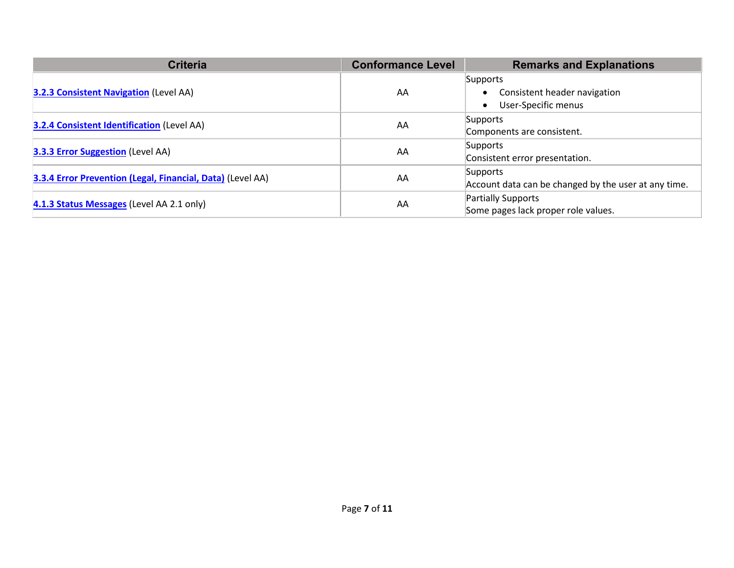| <b>Criteria</b>                                            | <b>Conformance Level</b>            | <b>Remarks and Explanations</b>                      |
|------------------------------------------------------------|-------------------------------------|------------------------------------------------------|
|                                                            |                                     | Supports                                             |
| <b>3.2.3 Consistent Navigation (Level AA)</b>              | AA                                  | Consistent header navigation<br>$\bullet$            |
|                                                            |                                     | User-Specific menus<br>$\bullet$                     |
| <b>3.2.4 Consistent Identification (Level AA)</b>          | AA                                  | Supports                                             |
|                                                            |                                     | Components are consistent.                           |
|                                                            | Supports                            |                                                      |
| <b>3.3.3 Error Suggestion</b> (Level AA)                   | AA                                  | Consistent error presentation.                       |
| 3.3.4 Error Prevention (Legal, Financial, Data) (Level AA) | AA                                  | Supports                                             |
|                                                            |                                     | Account data can be changed by the user at any time. |
| 4.1.3 Status Messages (Level AA 2.1 only)<br>AA            |                                     | Partially Supports                                   |
|                                                            | Some pages lack proper role values. |                                                      |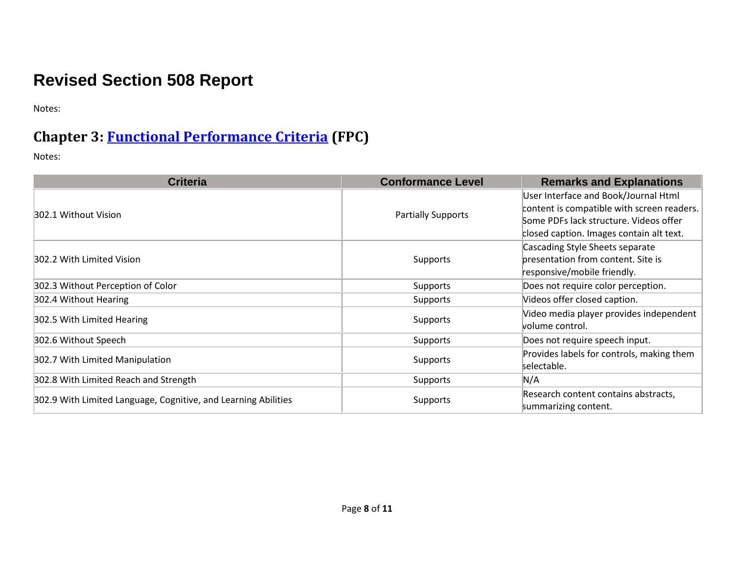# **Revised Section 508 Report**

Notes:

#### **Chapter 3: [Functional Performance Criteria](https://www.access-board.gov/guidelines-and-standards/communications-and-it/about-the-ict-refresh/final-rule/text-of-the-standards-and-guidelines#302-functional-performance-criteria) (FPC)**

| <b>Criteria</b>                                                | <b>Conformance Level</b>  | <b>Remarks and Explanations</b>                                                                                                                                          |
|----------------------------------------------------------------|---------------------------|--------------------------------------------------------------------------------------------------------------------------------------------------------------------------|
| 302.1 Without Vision                                           | <b>Partially Supports</b> | User Interface and Book/Journal Html<br>content is compatible with screen readers.<br>Some PDFs lack structure. Videos offer<br>closed caption. Images contain alt text. |
| 302.2 With Limited Vision                                      | Supports                  | Cascading Style Sheets separate<br>presentation from content. Site is<br>responsive/mobile friendly.                                                                     |
| 302.3 Without Perception of Color                              | Supports                  | Does not require color perception.                                                                                                                                       |
| 302.4 Without Hearing                                          | Supports                  | Videos offer closed caption.                                                                                                                                             |
| 302.5 With Limited Hearing                                     | Supports                  | Video media player provides independent<br>volume control.                                                                                                               |
| 302.6 Without Speech                                           | <b>Supports</b>           | Does not require speech input.                                                                                                                                           |
| 302.7 With Limited Manipulation                                | Supports                  | Provides labels for controls, making them<br>selectable.                                                                                                                 |
| 302.8 With Limited Reach and Strength                          | Supports                  | N/A                                                                                                                                                                      |
| 302.9 With Limited Language, Cognitive, and Learning Abilities | Supports                  | Research content contains abstracts,<br>summarizing content.                                                                                                             |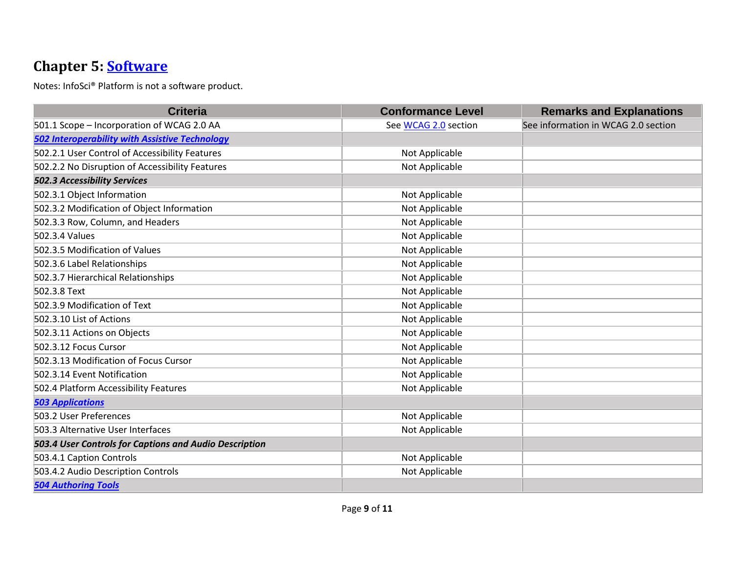## **Chapter 5: [Software](https://www.access-board.gov/guidelines-and-standards/communications-and-it/about-the-ict-refresh/final-rule/text-of-the-standards-and-guidelines#501-general)**

Notes: InfoSci® Platform is not a software product.

| <b>Criteria</b>                                        | <b>Conformance Level</b> | <b>Remarks and Explanations</b>     |
|--------------------------------------------------------|--------------------------|-------------------------------------|
| 501.1 Scope - Incorporation of WCAG 2.0 AA             | See WCAG 2.0 section     | See information in WCAG 2.0 section |
| <b>502 Interoperability with Assistive Technology</b>  |                          |                                     |
| 502.2.1 User Control of Accessibility Features         | Not Applicable           |                                     |
| 502.2.2 No Disruption of Accessibility Features        | Not Applicable           |                                     |
| <b>502.3 Accessibility Services</b>                    |                          |                                     |
| 502.3.1 Object Information                             | Not Applicable           |                                     |
| 502.3.2 Modification of Object Information             | Not Applicable           |                                     |
| 502.3.3 Row, Column, and Headers                       | Not Applicable           |                                     |
| 502.3.4 Values                                         | Not Applicable           |                                     |
| 502.3.5 Modification of Values                         | Not Applicable           |                                     |
| 502.3.6 Label Relationships                            | Not Applicable           |                                     |
| 502.3.7 Hierarchical Relationships                     | Not Applicable           |                                     |
| 502.3.8 Text                                           | Not Applicable           |                                     |
| 502.3.9 Modification of Text                           | Not Applicable           |                                     |
| 502.3.10 List of Actions                               | Not Applicable           |                                     |
| 502.3.11 Actions on Objects                            | Not Applicable           |                                     |
| 502.3.12 Focus Cursor                                  | Not Applicable           |                                     |
| 502.3.13 Modification of Focus Cursor                  | Not Applicable           |                                     |
| 502.3.14 Event Notification                            | Not Applicable           |                                     |
| 502.4 Platform Accessibility Features                  | Not Applicable           |                                     |
| <b>503 Applications</b>                                |                          |                                     |
| 503.2 User Preferences                                 | Not Applicable           |                                     |
| 503.3 Alternative User Interfaces                      | Not Applicable           |                                     |
| 503.4 User Controls for Captions and Audio Description |                          |                                     |
| 503.4.1 Caption Controls                               | Not Applicable           |                                     |
| 503.4.2 Audio Description Controls                     | Not Applicable           |                                     |
| <b>504 Authoring Tools</b>                             |                          |                                     |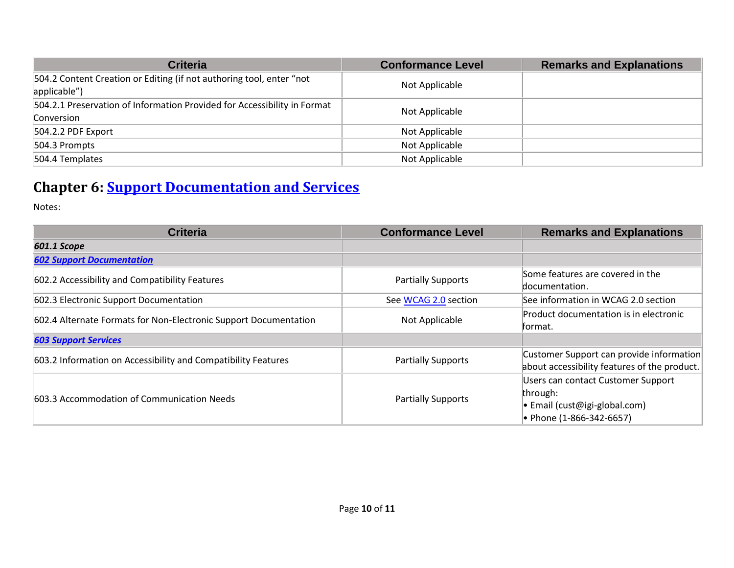| <b>Criteria</b>                                                                        | <b>Conformance Level</b> | <b>Remarks and Explanations</b> |
|----------------------------------------------------------------------------------------|--------------------------|---------------------------------|
| 504.2 Content Creation or Editing (if not authoring tool, enter "not<br>applicable")   | Not Applicable           |                                 |
| 504.2.1 Preservation of Information Provided for Accessibility in Format<br>Conversion | Not Applicable           |                                 |
| 504.2.2 PDF Export                                                                     | Not Applicable           |                                 |
| 504.3 Prompts                                                                          | Not Applicable           |                                 |
| 504.4 Templates                                                                        | Not Applicable           |                                 |

## **Chapter 6: [Support Documentation and Services](https://www.access-board.gov/guidelines-and-standards/communications-and-it/about-the-ict-refresh/final-rule/text-of-the-standards-and-guidelines#601-general)**

| <b>Criteria</b>                                                  | <b>Conformance Level</b>  | <b>Remarks and Explanations</b>              |
|------------------------------------------------------------------|---------------------------|----------------------------------------------|
| 601.1 Scope                                                      |                           |                                              |
| <b>602 Support Documentation</b>                                 |                           |                                              |
| 602.2 Accessibility and Compatibility Features                   | <b>Partially Supports</b> | Some features are covered in the             |
|                                                                  |                           | documentation.                               |
| 602.3 Electronic Support Documentation                           | See WCAG 2.0 section      | See information in WCAG 2.0 section          |
| 602.4 Alternate Formats for Non-Electronic Support Documentation | Not Applicable            | Product documentation is in electronic       |
|                                                                  |                           | format.                                      |
| <b>603 Support Services</b>                                      |                           |                                              |
| 603.2 Information on Accessibility and Compatibility Features    | <b>Partially Supports</b> | Customer Support can provide information     |
|                                                                  |                           | about accessibility features of the product. |
| 603.3 Accommodation of Communication Needs                       | <b>Partially Supports</b> | Users can contact Customer Support           |
|                                                                  |                           | through:                                     |
|                                                                  |                           | • Email (cust@igi-global.com)                |
|                                                                  |                           | • Phone (1-866-342-6657)                     |